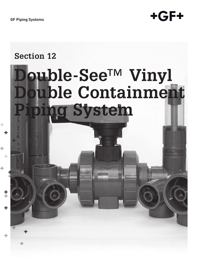**GF Piping Systems**



# **Section 12Double-See™ Vinyl Double Containment Piping System** ţ ÷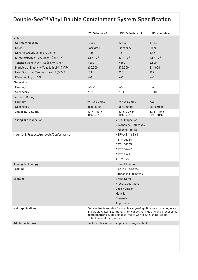# Double-See™ Vinyl Double Containment System Specification

| Double-See™ Vinyl Double Containment System Specification                                |                                            |                                                                                                                                                 |                                            |
|------------------------------------------------------------------------------------------|--------------------------------------------|-------------------------------------------------------------------------------------------------------------------------------------------------|--------------------------------------------|
|                                                                                          | <b>PVC Schedule 80</b>                     | <b>CPVC Schedule 80</b>                                                                                                                         | <b>PVC Schedule 40</b>                     |
| <b>Material</b>                                                                          |                                            |                                                                                                                                                 |                                            |
| Cell classification<br>Color                                                             | 12454<br>Dark gray                         | 23447<br>Light gray                                                                                                                             | 14353<br>Clear                             |
| Specific Gravity (g/cc3 @ 73°F)                                                          | 1.40                                       | 1.51                                                                                                                                            | 1.32                                       |
| Linear expansion coefficient (in/in °F)                                                  | $2.8 \times 10^{-5}$                       | $3.4 \times 10^{-5}$                                                                                                                            | $4.1 \times 10^{-5}$                       |
| Tensile Strength @ yield (psi @ 73°F)                                                    | 7,200                                      | 7,550                                                                                                                                           | 6,500                                      |
| Modules of Elasticity Tensile (psi @ 73°F)<br>Heat Distortion Temperature (°F @ 264 psi) | 430,000<br>158                             | 375,000<br>230                                                                                                                                  | 334,000<br>157                             |
| Flammability (UL94)                                                                      | $V - O$                                    | $V - O$                                                                                                                                         | $V - O$                                    |
| <b>Dimension</b>                                                                         |                                            |                                                                                                                                                 |                                            |
| Primary<br>Secondary                                                                     | $\frac{1}{2}$ –6"<br>$2 - 10$ "            | $1/2 - 6$ "<br>$2 - 10$ "                                                                                                                       | n/a<br>$2 - 10$ "                          |
| <b>Pressure Rating</b>                                                                   |                                            |                                                                                                                                                 |                                            |
| Primary                                                                                  | varies by size                             | varies by size                                                                                                                                  | n/a                                        |
|                                                                                          |                                            |                                                                                                                                                 |                                            |
| Secondary                                                                                | up to 50 psi                               | up to 50 psi                                                                                                                                    | up to 50 psi                               |
| <b>Temperature Rating</b>                                                                | 32°F-140°F<br>$(0^{\circ}C - 60^{\circ}C)$ | 32°F-200°F<br>$(0^{\circ}C - 93^{\circ}C)$                                                                                                      | 32°F-140°F<br>$(0^{\circ}C - 60^{\circ}C)$ |
| <b>Testing and Inspection</b>                                                            |                                            | <b>Visual Inspection</b><br><b>Dimensional Tolerance</b>                                                                                        |                                            |
|                                                                                          |                                            | <b>Pressure Testing</b>                                                                                                                         |                                            |
| Material & Product Approvals/Conformance                                                 |                                            | <b>NSF/ANSI 14 &amp; 61</b>                                                                                                                     |                                            |
|                                                                                          |                                            | ASTM D1784<br><b>ASTM D1785</b>                                                                                                                 |                                            |
|                                                                                          |                                            | <b>ASTM D2467</b>                                                                                                                               |                                            |
|                                                                                          |                                            | ASTM F441                                                                                                                                       |                                            |
| Joining Technology                                                                       |                                            | ASTM F439<br><b>Solvent Cement</b>                                                                                                              |                                            |
| Packing                                                                                  |                                            | Pipe in lifts/boxes                                                                                                                             |                                            |
|                                                                                          |                                            | Fittings in bulk boxes                                                                                                                          |                                            |
| Labeling                                                                                 |                                            | <b>Brand Name</b><br><b>Product Description</b>                                                                                                 |                                            |
|                                                                                          |                                            | Code Number                                                                                                                                     |                                            |
|                                                                                          |                                            | Material<br>Dimension                                                                                                                           |                                            |
|                                                                                          |                                            | Approvals                                                                                                                                       |                                            |
| <b>Main Applications</b>                                                                 |                                            | Double-See is suitable for a wide range of applications including water<br>and waste water treatment, chemical delivery, dosing and processing, |                                            |
|                                                                                          | collection, and many others.               | microelectronics, life sciences, metal working/finishing, waste                                                                                 |                                            |
| <b>Additional features</b>                                                               |                                            | Custom fabrications and pipe spooling available                                                                                                 |                                            |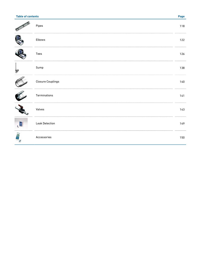| <b>Table of contents</b> |                          | Page |
|--------------------------|--------------------------|------|
|                          | Pipes                    | 118  |
|                          | Elbows                   | 122  |
|                          | Tees                     | 126  |
| P                        | Sump                     | 138  |
|                          | <b>Closure Couplings</b> | 140  |
|                          | Terminations             | 141  |
|                          | Valves                   | 143  |
| E<br>ŧ.                  | <b>Leak Detection</b>    | 149  |
| E.                       | Accessories              | 150  |
|                          |                          |      |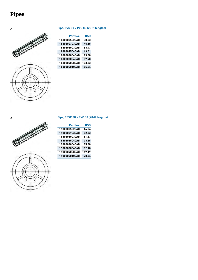# <span id="page-3-0"></span>**Pipes**

# <u>Chambridge Station Station Station Station Station Station Station Station Station Station Station Station St</u>



## A **Pipe, PVC 80 x PVC 80 (20-ft lengths)**

| Part No.       | USD    |
|----------------|--------|
| * 8808005020AB | 38.03  |
| *8808007030AB  | 45.18  |
| *8808010030AB  | 53.47  |
| *8808015040AB  | 63.01  |
| * 8808020040AB | 73.68  |
| *8808030060AB  | 87.98  |
| * 8808040080AB | 103.63 |
| *8808060100AB  | 155.44 |





| Part No.       | USD    |
|----------------|--------|
| * 9808005020AB | 44.04  |
| *9808007030AB  | 52.33  |
| *9808010030AB  | 61.87  |
| *9808015040AB  | 73.68  |
| *9808020040AB  | 85.60  |
| * 9808030060AB | 102.18 |
| *9808040080AB  | 119.17 |
| *9808060100AB  | 178.24 |

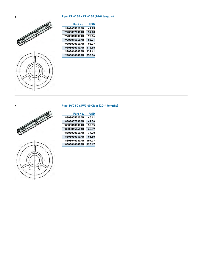### A **Pipe, CPVC 80 x CPVC 80 (20-ft lengths)**





| Part No.       | USD    |
|----------------|--------|
| * 9908005020AB | 49.95  |
| * 9908007030AB | 59.48  |
| * 9908010030AB | 70.16  |
| *9908015040AB  | 83.21  |
| *9908020040AB  | 96.27  |
| * 9908030060AB | 112.95 |
| * 9908040080AB | 131.61 |
| * 9908060100AB | 255.96 |

A **Pipe, PVC 80 x PVC 40 Clear (20-ft lengths)**

# S



| Part No.      | USD    |
|---------------|--------|
| *8308005020AB | 40.41  |
| *8308007030AB | 47.56  |
| *8308010030AB | 55.85  |
| *8308015040AB | 65.39  |
| *8308020040AB | 77.20  |
| *8308030060AB | 91.50  |
| *8308040080AB | 107.77 |
| *8308060100AB | 190.67 |
|               |        |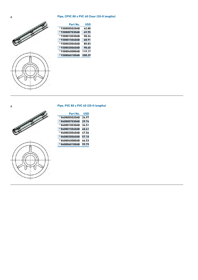#### A **Pipe, CPVC 80 x PVC 40 Clear (20-ft lengths)**



| Part No.       | USD    |
|----------------|--------|
| * 9308005020AB | 42.80  |
| *9308007030AB  | 49.95  |
| * 9308010030AB | 58.24  |
| *9308015040AB  | 68.91  |
| *9308020040AB  | 80.83  |
| *9308030060AB  | 98.65  |
| * 9308040080AB | 119.17 |
| *9308060100AB  | 208.29 |

#### A **Pipe, PVC 80 x PVC 40 (20-ft lengths)**

**Part No. USD**

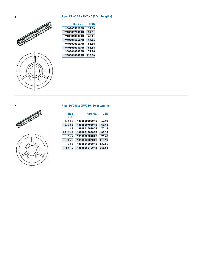



| Part No.       | USD    |
|----------------|--------|
| *9408005020AB  | 29.74  |
| *9408007030AB  | 34.51  |
| *9408010030AB  | 40.41  |
| *9408015040AB  | 47.56  |
| *9408020040AB  | 55.85  |
| *9408030060AB  | 66.53  |
| * 9408040080AB | 77.20  |
| *9408060100AB  | 116.06 |

A **Pipe, PVC80 x CPVC80 (20-ft lengths)**





#### **Size Part No. USD** (inch)  $\overline{a}$ 1/2 x 2 **\* 8908005020AB 49.95**

| $1/2 \times 2$  | *8908005020AB | 49.95  |
|-----------------|---------------|--------|
| $3/4 \times 3$  | *8908007030AB | 59.48  |
| $1 \times 3$    | *8908010030AB | 70.16  |
| $11/2 \times 4$ | *8908015040AB | 83.32  |
| $2 \times 4$    | *8908020040AB | 96.48  |
| $3 \times 6$    | *8908030060AB | 113.99 |
| $4 \times 8$    | *8908040080AB | 132.64 |
| $6 \times 10$   | *8908060100AB | 243.52 |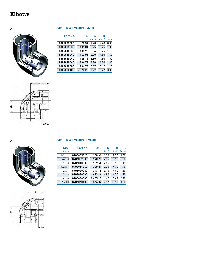# <span id="page-7-0"></span>**Elbows**

A **90° Elbow, PVC 80 x PVC 80**



|                 | н                                                                        | S         |
|-----------------|--------------------------------------------------------------------------|-----------|
| (inch)          | (inch)                                                                   | (inch)    |
| 1.90            | 2.78                                                                     | 0.88      |
|                 | 3.75                                                                     | 1.00      |
| 2.56            | 3.75                                                                     | 1.19      |
| 3.20            | 4.60                                                                     | 1.40      |
| 3.10            | 4.60                                                                     | 1.50      |
| 4.80            | 6.70                                                                     | 1.90      |
| 6.47            | 8.67                                                                     | 2.20      |
| 7.77            | 10.77                                                                    | 3.00      |
| 70.57<br>143.01 | <b>USD</b><br>101.04<br>105.70<br>148.19<br>364.77<br>706.74<br>2.577.20 | G<br>2.75 |



A **90° Elbow, PVC 80 x CPVC 80**



| <b>Size</b>     | Part No.   | <b>USD</b> | G      | н      | S      |
|-----------------|------------|------------|--------|--------|--------|
| (inch)          |            |            | (inch) | (inch) | (inch) |
| $1/2 \times 2$  | 8906005020 | 100.41     | 1.90   | 2.78   | 0.88   |
| $3/4 \times 3$  | 8906007030 | 170.98     | 2.75   | 3.75   | 1.00   |
| $1 \times 3$    | 8906010030 | 189.64     | 2.56   | 3.75   | 1.19   |
| $11/2 \times 4$ | 8906015040 | 320.21     | 3.20   | 4.60   | 1.40   |
| $2 \times 4$    | 8906020040 | 347.15     | 3.10   | 4.60   | 1.50   |
| $3 \times 6$    | 8906030060 | 633.16     | 4.80   | 6.70   | 1.90   |
| 4 x 8           | 8906040080 | 1.405.18   | 6.47   | 8.67   | 2.20   |
| $6 \times 10$   | 8906060100 | 3.666.32   | 7.77   | 10.77  | 3.00   |

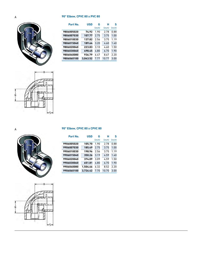### A **90° Elbow, CPVC 80 x PVC 80**



| Part No.   | USD      | G      | н      | S      |
|------------|----------|--------|--------|--------|
|            |          | (inch) | (inch) | (inch) |
| 9806005020 | 74.92    | 1.90   | 2.78   | 0.88   |
| 9806007030 | 107.77   | 2.75   | 3.75   | 1.00   |
| 9806010030 | 137.82   | 2.56   | 3.75   | 1.19   |
| 9806015040 | 189.64   | 3.20   | 4.60   | 1.40   |
| 9806020040 | 223.83   | 3.10   | 4.60   | 1.50   |
| 9806030060 | 498.45   | 4.80   | 6.70   | 1.90   |
| 9806040080 | 936.79   | 6.47   | 8.67   | 2.20   |
| 9806060100 | 3.043.52 | 7.77   | 10.77  | 3.00   |





### A **90° Elbow, CPVC 80 x CPVC 80**

| Part No.   | <b>USD</b> | G      | н      | S      |
|------------|------------|--------|--------|--------|
|            |            | (inch) | (inch) | (inch) |
| 9906005020 | 105.70     | 1.90   | 2.78   | 0.88   |
| 9906007030 | 185.49     | 2.75   | 3.75   | 1.00   |
| 9906010030 | 198.96     | 2.56   | 3.75   | 1.19   |
| 9906015040 | 350.26     | 3.19   | 4.59   | 1.40   |
| 9906020040 | 374.09     | 3.09   | 4.59   | 1.50   |
| 9906030060 | 651.81     | 4.80   | 6.70   | 1.90   |
| 9906040080 | 1.504.66   | 6.32   | 8.52   | 2.20   |
| 9906060100 | 3.726.42   | 7.70   | 10.70  | 3.00   |
|            |            |        |        |        |

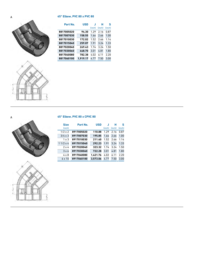### A **45° Elbow, PVC 80 x PVC 80**





| Part No.   | <b>USD</b> |        | н      | s      |
|------------|------------|--------|--------|--------|
|            |            | (inch) | (inch) | (inch) |
| 8817005020 | 94.30      | 1.29   | 2.16   | 0.87   |
| 8817007030 | 158.55     | 1.66   | 2.66   | 1.00   |
| 8817010030 | 172.02     | 1.52   | 2.66   | 1.14   |
| 8817015040 | 259.07     | 1.91   | 3.24   | 1.33   |
| 8817020040 | 269.43     | 1.74   | 3.24   | 1.50   |
| 8817030060 | 448.70     | 3.01   | 4.81   | 1.80   |
| 8817040080 | 782.38     | 4.02   | 6.11   | 2.20   |
| 8817060100 | 1.919.17   | 4.77   | 7.50   | 3.00   |

A **45° Elbow, PVC 80 x CPVC 80**



S

| <b>Size</b>     | Part No.   | <b>USD</b> |        | н      | S      |
|-----------------|------------|------------|--------|--------|--------|
| (inch)          |            |            | (inch) | (inch) | (inch) |
| $1/2 \times 2$  | 8917005020 | 110.88     | 1.29   | 2.16   | 0.87   |
| $3/4 \times 3$  | 8917007030 | 195.85     | 1.66   | 2.66   | 1.00   |
| $1 \times 3$    | 8917010030 | 211.40     | 1.52   | 2.66   | 1.14   |
| $11/2 \times 4$ | 8917015040 | 292.23     | 1.91   | 3.24   | 1.33   |
| $2 \times 4$    | 8917020040 | 323.32     | 1.74   | 3.24   | 1.50   |
| $3 \times 6$    | 8917030060 | 722.28     | 3.01   | 4.81   | 1.80   |
| 4 x 8           | 8917040080 | 1.421.76   | 4.02   | 6.11   | 2.20   |
| $6 \times 10$   | 8917060100 | 3.573.06   | 4.77   | 7.50   | 3.00   |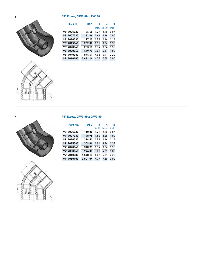### A **45° Elbow, CPVC 80 x PVC 80**





| Part No.   | <b>USD</b> |        | н      | S      |
|------------|------------|--------|--------|--------|
|            |            | (inch) | (inch) | (inch) |
| 9817005020 | 96.68      | 1.29   | 2.16   | 0.87   |
| 9817007030 | 161.66     | 1.66   | 2.66   | 1.00   |
| 9817010030 | 177.20     | 1.52   | 2.66   | 1.14   |
| 9817015040 | 202.07     | 1.91   | 3.24   | 1.33   |
| 9817020040 | 233.16     | 1.74   | 3.24   | 1.50   |
| 9817030060 | 479.79     | 3.01   | 4.81   | 1.80   |
| 9817040080 | 874.61     | 4.02   | 6.11   | 2.20   |
| 9817060100 | 2.461.14   | 4.77   | 7.50   | 3.00   |







| Part No.   | <b>USD</b> |        | н      | S      |
|------------|------------|--------|--------|--------|
|            |            | (inch) | (inch) | (inch) |
| 9917005020 | 110.88     | 1.29   | 2.16   | 0.87   |
| 9917007030 | 198.96     | 1.66   | 2.66   | 1.00   |
| 9917010030 | 214.51     | 1.52   | 2.66   | 1.14   |
| 9917015040 | 309.84     | 1.91   | 3.24   | 1.33   |
| 9917020040 | 340.93     | 1.74   | 3.24   | 1.50   |
| 9917030060 | 774.09     | 3.01   | 4.81   | 1.80   |
| 9917040080 | 1.548.19   | 4.02   | 6.11   | 2.20   |
| 9917060100 | 3.801.04   | 4.77   | 7.50   | 3.00   |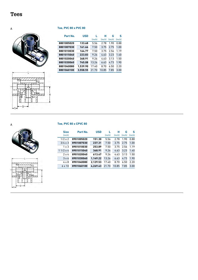## <span id="page-11-0"></span>**Tees**

A **Tee, PVC 80 x PVC 80**



|                        |       | (inch) | (inch)<br>(inch) | (inch) |
|------------------------|-------|--------|------------------|--------|
| 8801005020<br>133.68   | 5.56  | 2.78   | 1.90             | 0.88   |
| 8801007030<br>161.66   | 7.50  | 3.75   | 2.75             | 1.00   |
| 8801010030<br>164.77   | 7.50  | 3.75   | 2.56             | 1.19   |
| 8801015040<br>223.83   | 9.26  | 4.63   | 3.23             | 1.40   |
| 8801020040<br>368.91   | 9.26  | 4.63   | 3.13             | 1.50   |
| 8801030060<br>745.08   | 13.26 | 6.63   | 4.73             | 1.90   |
| 8801040080<br>1.539.90 | 17.40 | 8.70   | 6.50             | 2.20   |
| 3.558.55<br>8801060100 | 21.70 | 10.85  | 7.85             | 3.00   |

**H**

**G**

**S**

**Part No. USD L**





### A **Tee, PVC 80 x CPVC 80**

| <b>Size</b>     | Part No.   | <b>USD</b> |        | н      | G      | s      |
|-----------------|------------|------------|--------|--------|--------|--------|
| (inch)          |            |            | (inch) | (inch) | (inch) | (inch) |
| $1/2 \times 2$  | 8901005020 | 151.30     | 5.56   | 2.78   | 1.90   | 0.88   |
| $3/4 \times 3$  | 8901007030 | 237.31     | 7.50   | 3.75   | 2.75   | 1.00   |
| $1 \times 3$    | 8901010030 | 253.89     | 7.50   | 3.75   | 2.56   | 1.19   |
| $11/2 \times 4$ | 8901015040 | 368.91     | 9.26   | 4.63   | 3.23   | 1.40   |
| $2 \times 4$    | 8901020040 | 613.47     | 9.26   | 4.63   | 3.13   | 1.50   |
| $3 \times 6$    | 8901030060 | 1.149.22   | 13.26  | 6.63   | 4.73   | 1.90   |
| 4 x 8           | 8901040080 | 2.129.53   | 17.40  | 8.70   | 6.50   | 2.20   |
| $6 \times 10$   | 8901060100 | 4.269.43   | 21.70  | 10.85  | 7.85   | 3.00   |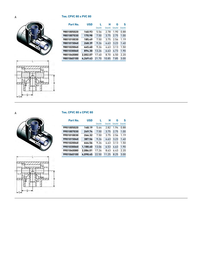### A **Tee, CPVC 80 x PVC 80**





| Part No.   | <b>USD</b> | (inch) | н<br>(inch) | G<br>(inch) | s<br>(inch) |
|------------|------------|--------|-------------|-------------|-------------|
| 9801005020 | 140.93     | 5.56   | 2.78        | 1.90        | 0.88        |
| 9801007030 | 170.98     | 7.50   | 3.75        | 2.75        | 1.00        |
| 9801010030 | 185.49     | 7.50   | 3.75        | 2.56        | 1.19        |
| 9801015040 | 268.39     | 9.26   | 4.63        | 3.23        | 1.40        |
| 9801020040 | 445.60     | 9.26   | 4.63        | 3.13        | 1.50        |
| 9801030060 | 894.30     | 13.26  | 6.63        | 4.73        | 1.90        |
| 9801040080 | 2.002.07   | 17.40  | 8.70        | 6.50        | 2.20        |
| 9801060100 | 4.269.43   | 21.70  | 10.85       | 7.85        | 3.00        |

A **Tee, CPVC 80 x CPVC 80**





| Part No.   | <b>USD</b> |        | н      | G      | S      |
|------------|------------|--------|--------|--------|--------|
|            |            | (inch) | (inch) | (inch) | (inch) |
| 9901005020 | 148.19     | 5.64   | 2.82   | 1.94   | 0.88   |
| 9901007030 | 249.74     | 7.50   | 3.75   | 2.75   | 1.00   |
| 9901010030 | 266.32     | 7.50   | 3.75   | 2.56   | 1.19   |
| 9901015040 | 387.56     | 9.26   | 4.63   | 3.23   | 1.40   |
| 9901020040 | 644.56     | 9.26   | 4.63   | 3.13   | 1.50   |
| 9901030060 | 1.188.60   | 13.06  | 6.53   | 4.63   | 1.90   |
| 9901040080 | 2.086.01   | 17.26  | 8.63   | 6.43   | 2.20   |
| 9901060100 | 4.098.45   | 22.50  | 11.25  | 8.25   | 3.00   |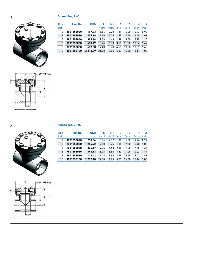A **Access Tee, PVC**



| <b>Size</b> | Part No.   | <b>USD</b> |        | Н1     | G      | D      | н      | A      |
|-------------|------------|------------|--------|--------|--------|--------|--------|--------|
| (inch)      |            |            | (inch) | (inch) | (inch) | (inch) | (inch) | (inch) |
| 2           | 8801853020 | 197.93     | 5.56   | 2.78   | 1.29   | 6.00   | 4.93   | 0.92   |
| 3           | 8801853030 | 205.18     | 7.50   | 3.75   | 1.85   | 7.50   | 6.40   | 1.03   |
| 4           | 8801853040 | 309.84     | 9.26   | 4.63   | 2.38   | 9.00   | 7.75   | 1.35   |
| 6           | 8801853060 | 470.47     | 13.26  | 6.63   | 3.55   | 11.00  | 10.04  | 1.49   |
| 8           | 8801853080 | 639.38     | 17.40  | 8.70   | 4.59   | 13.50  | 13.07  | 1.63   |
| 10          | 8801853100 | 2.313.99   | 21.70  | 10.85  | 5.57   | 16.00  | 15.14  | 1.00   |



A **Access Tee, CPVC**



| <b>Size</b> | Part No.   | <b>USD</b> |        | н1     | G      | D      | н      | A      |
|-------------|------------|------------|--------|--------|--------|--------|--------|--------|
| (inch)      |            |            | (inch) | (inch) | (inch) | (inch) | (inch) | (inch) |
|             | 9801853020 | 238.34     | 5.64   | 2.82   | 1.32   | 6.00   | 4.96   | 0.92   |
| 3           | 9801853030 | 254.92     | 7.50   | 3.75   | 1.85   | 7.50   | 6.40   | 1.03   |
| 4           | 9801853040 | 376.17     | 9.26   | 4.63   | 2.38   | 9.00   | 7.75   | 1.35   |
| 6           | 9801853060 | 646.63     | 13.06  | 6.53   | 3.53   | 11.00  | 10.02  | 1.49   |
| 8           | 9801853080 | 1.126.42   | 17.26  | 8.63   | 4.59   | 13.50  | 13.07  | 1.63   |
| 10          | 9801853100 | 2.777.20   | 22.50  | 11.25  | 5.75   | 16.00  | 15.14  | 1.00   |

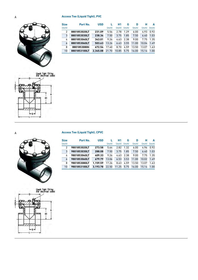### A **Access Tee (Liquid Tight), PVC**



| <b>Size</b> | Part No.     | <b>USD</b> |        | Н1     | G      | D      | н      | A      |
|-------------|--------------|------------|--------|--------|--------|--------|--------|--------|
| (inch)      |              |            | (inch) | (inch) | (inch) | (inch) | (inch) | (inch) |
| 2           | 8801853020LT | 231.09     | 5.56   | 2.78   | 1.29   | 6.00   | 4.93   | 0.92   |
| 3           | 8801853030LT | 238.34     | 7.50   | 3.75   | 1.85   | 7.50   | 6.40   | 1.03   |
| 4           | 8801853040LT | 343.01     | 9.26   | 4.63   | 2.38   | 9.00   | 7.75   | 1.35   |
| 6           | 8801853060LT | 503.63     | 13.26  | 6.63   | 3.55   | 11.00  | 10.04  | 1.49   |
| 8           | 8801853080lt | 672.54     | 17.40  | 8.70   | 4.59   | 13.50  | 13.07  | 1.63   |
| 10          | 8801853100LT | 2.345.08   | 21.70  | 10.85  | 5.75   | 16.00  | 15.14  | 1.00   |



A **Access Tee (Liquid Tight), CPVC**

| <b>Size</b> | Part No.     | <b>USD</b> |        | Н1     | G      | D      | н      | A      |
|-------------|--------------|------------|--------|--------|--------|--------|--------|--------|
| (inch)      |              |            | (inch) | (inch) | (inch) | (inch) | (inch) | (inch) |
| 2           | 9801853020LT | 273.58     | 5.64   | 2.82   | 1.32   | 6.00   | 4.96   | 0.92   |
| 3           | 9801853030LT | 288.08     | 7.50   | 3.75   | 1.85   | 7.50   | 6.40   | 1.03   |
| 4           | 9801853040LT | 409.33     | 9.26   | 4.63   | 2.38   | 9.00   | 7.75   | 1.35   |
| 6           | 9801853060LT | 679.79     | 13.06  | 6.53   | 3.53   | 11.00  | 10.02  | 1.49   |
| 8           | 9801853080LT | 1.159.59   | 17.26  | 8.63   | 4.59   | 13.50  | 13.07  | 1.63   |
| 10          | 9801853100LT | 3.193.78   | 22.50  | 11.25  | 5.75   | 16.00  | 15.14  | 1.00   |

Liquid Tigh! Filting<br>{for electrical cable] Ĥ1  $-6$ í.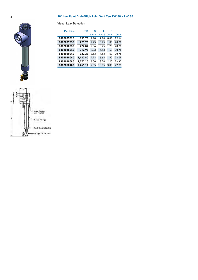### A **90° Low Point Drain/High Point Vent Tee PVC 80 x PVC 80**

| Part No.   | <b>USD</b> | G      |        | S      | н      |
|------------|------------|--------|--------|--------|--------|
|            |            | (inch) | (inch) | (inch) | (inch) |
| 8802005020 | 193.78     | 1.90   | 2.78   | 0.88   | 19.66  |
| 8802007030 | 221.76     | 2.75   | 3.75   | 1.00   | 20.28  |
| 8802010030 | 224.87     | 2.56   | 3.75   | 1.79   | 20.28  |
| 8802015040 | 312.95     | 3.23   | 4.53   | 1.40   | 20.76  |
| 8802020040 | 922.28     | 3.13   | 4.63   | 1.50   | 20.76  |
| 8802030060 | 1.422.80   | 4.73   | 6.63   | 1.90   | 24.09  |
| 8802040080 | 1.777.20   | 6.50   | 8.70   | 2.20   | 24.47  |
| 8802060100 | 2.261.14   | 7.85   | 10.85  | 3.00   | 27.75  |

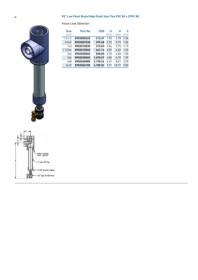### A **90° Low Point Drain/High Point Vent Tee PVC 80 x CPVC 80**



| <b>Size</b>    | Part No.   | <b>USD</b> | G      | н      | S      |
|----------------|------------|------------|--------|--------|--------|
| (inch)         |            |            | (inch) | (inch) | (inch) |
| $1/2 \times 2$ | 8902005020 | 213.47     | 1.90   | 2.78   | 0.88   |
| 3/4x3          | 8902007030 | 299.48     | 2.75   | 3.75   | 1.00   |
| 1x3            | 8902010030 | 315.03     | 2.56   | 3.75   | 1.19   |
| 11/2x4         | 8902015040 | 461.14     | 3.20   | 4.60   | 1.40   |
| 2x4            | 8902020040 | 830.05     | 3.10   | 4.60   | 1.50   |
| 3x6            | 8902030060 | 1.670.47   | 4.80   | 6.70   | 1.90   |
| 4x8            | 8902040080 | 2.178.24   | 6.47   | 8.67   | 2.20   |
| 6x10           | 8902060100 | 4.100.52   | 7.77   | 10.77  | 3.00   |

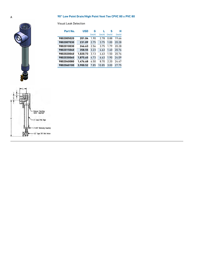### A **90° Low Point Drain/High Point Vent Tee CPVC 80 x PVC 80**

| Part No.   | <b>USD</b> | G      |        | s      | н      |
|------------|------------|--------|--------|--------|--------|
|            |            | (inch) | (inch) | (inch) | (inch) |
| 9802005020 | 201.04     | 1.90   | 2.78   | 0.88   | 19.66  |
| 9802007030 | 231.09     | 2.75   | 3.75   | 1.00   | 20.28  |
| 9802010030 | 246.63     | 2.56   | 3.75   | 1.79   | 20.28  |
| 9802015040 | 358.55     | 3.23   | 4.63   | 1.40   | 20.76  |
| 9802020040 | 1.020.73   | 3.13   | 4.63   | 1.50   | 20.76  |
| 9802030060 | 1.875.65   | 4.73   | 6.63   | 1.90   | 24.09  |
| 9802040080 | 1.476.68   | 6.50   | 8.70   | 2.20   | 24.47  |
| 9802060100 | 3.900.52   | 7.85   | 10.85  | 3.00   | 27.75  |

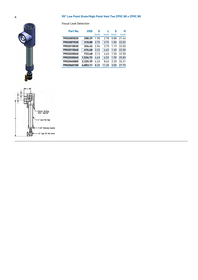### A **90° Low Point Drain/High Point Vent Tee CPVC 80 x CPVC 80**





| Part No.   | <b>USD</b> | G      |        | S      | н      |
|------------|------------|--------|--------|--------|--------|
|            |            | (inch) | (inch) | (inch) | (inch) |
| 9902005020 | 208.29     | 1.90   | 2.78   | 0.88   | 21.44  |
| 9902007030 | 310.88     | 2.75   | 3.75   | 1.00   | 22.02  |
| 9902010030 | 326.42     | 2.56   | 3.75   | 1.19   | 22.02  |
| 9902015040 | 476.68     | 3.23   | 4.63   | 1.40   | 22.50  |
| 9902020040 | 733.68     | 3.13   | 4.63   | 1.50   | 22.50  |
| 9902030060 | 1.534.72   | 4.63   | 6.53   | 1.90   | 25.83  |
| 9902040080 | 2.325.39   | 6.43   | 8.63   | 2.20   | 26.21  |
| 9902060100 | 4.003.11   | 8.25   | 11.25  | 3.00   | 27.75  |

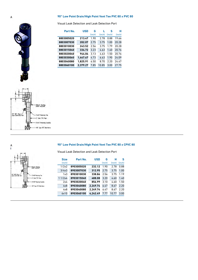#### A **90° Low Point Drain/High Point Vent Tee PVC 80 x PVC 80**

Visual Leak Detection and Leak Detection Port

| Part No.   | <b>USD</b> | G<br>(inch) | (inch) | S<br>(inch) | н<br>(inch) |
|------------|------------|-------------|--------|-------------|-------------|
| 8803005020 | 213.47     | 1.90        | 2.78   | 0.88        | 19.66       |
| 8803007030 | 202.07     | 2.75        | 3.75   | 1.00        | 20.28       |
| 8803010030 | 243.52     | 2.56        | 3.75   | 1.79        | 20.28       |
| 8803015040 | 334.72     | 3.23        | 4.63   | 1.40        | 20.76       |
| 8803020040 | 944.04     | 3.13        | 4.63   | 1.50        | 20.76       |
| 8803030060 | 1.447.67   | 4.73        | 6.63   | 1.90        | 24.09       |
| 8803040080 | 1.825.91   | 6.50        | 8.70   | 2.20        | 24.47       |
| 8803060100 | 2.379.27   | 7.85        | 10.85  | 3.00        | 27.75       |



## leducer Bushing **NZ" MPT Plug-**<br>Legal Detection  $T x U T R$ Tee T Dear PVC Pipe  $5507$ 7 Type 375 Ball Volve

# A **90° Low Point Drain/High Point Vent Tee PVC 80 x CPVC 80**

Visual Leak Detection and Leak Detection Port

| <b>Size</b><br>(inch) | Part No.   | <b>USD</b> | G<br>(inch) | н<br>(inch) | S<br>(inch) |
|-----------------------|------------|------------|-------------|-------------|-------------|
| 1/2x2                 | 8903005020 | 232.12     | 1.90        | 2.78        | 0.88        |
| 3/4x3                 | 8903007030 | 312.95     | 2.75        | 3.75        | 1.00        |
| 1x3                   | 8903010030 | 338.86     | 2.56        | 3.75        | 1.19        |
| 11/2x4                | 8903015040 | 488.08     | 3.20        | 4.60        | 1.40        |
| 2x4                   | 8903020040 | 856.99     | 3.10        | 4.60        | 1.50        |
| 4x8                   | 8903040080 | 2.249.74   | 6.47        | 8.67        | 2.20        |
| 4x8                   | 8903040080 | 2,249.74   | 6.47        | 8.67        | 2.20        |
| 6x10                  | 8903060100 | 4.242.49   | 7.77        | 10.77       | 3.00        |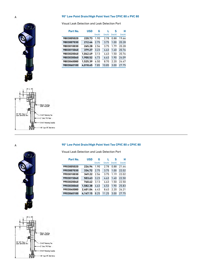### A **90° Low Point Drain/High Point Vent Tee CPVC 80 x PVC 80**

Visual Leak Detection and Leak Detection Port

| Part No.   | <b>USD</b> | G      | ı.     | s      | н      |
|------------|------------|--------|--------|--------|--------|
|            |            | (inch) | (inch) | (inch) | (inch) |
| 9803005020 | 220.73     | 1.90   | 2.78   | 0.88   | 19.66  |
| 9803007030 | 212.44     | 2.75   | 3.75   | 1.00   | 20.28  |
| 9803010030 | 265.28     | 2.56   | 3.75   | 1.79   | 20.28  |
| 9803015040 | 379.27     | 3.23   | 4.63   | 1.40   | 20.76  |
| 9803020040 | 1.042.49   | 3.13   | 4.63   | 1.50   | 20.76  |
| 9803030060 | 1.900.52   | 4.73   | 6.63   | 1.90   | 24.09  |
| 9803040080 | 1.525.39   | 6.50   | 8.70   | 2.20   | 24.47  |
| 9803060100 | 4.018.65   | 7.85   | 10.85  | 3.00   | 27.75  |



#### A **90° Low Point Drain/High Point Vent Tee CPVC 80 x CPVC 80**

Visual Leak Detection and Leak Detection Port

| Part No.   | <b>USD</b> | G      |        | s      | н      |
|------------|------------|--------|--------|--------|--------|
|            |            | (inch) | (inch) | (inch) | (inch) |
| 9903005020 | 226.94     | 1.90   | 2.78   | 0.88   | 21.44  |
| 9903007030 | 334.72     | 2.75   | 3.75   | 1.00   | 22.02  |
| 9903010030 | 349.22     | 2.56   | 3.75   | 1.19   | 22.02  |
| 9903015040 | 503.63     | 3.23   | 4.63   | 1.40   | 22.50  |
| 9903020040 | 760.62     | 3.13   | 4.63   | 1.50   | 22.50  |
| 9903030060 | 1,582.38   | 4.63   | 6.53   | 1.90   | 25.83  |
| 9903040080 | 2.401.04   | 6.43   | 8.63   | 2.20   | 26.21  |
| 9903060100 | 4.147.15   | 8.25   | 11.25  | 3.00   | 27.75  |



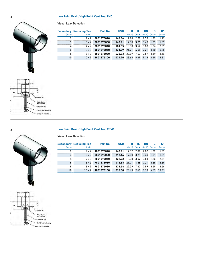### A **Low Point Drain/High Point Vent Tee, PVC**

Visual Leak Detection

|        | <b>Secondary Reducing Tee</b> | Part No.   | <b>USD</b> | н      | HJ.    | <b>HN</b> | G      | G1     |
|--------|-------------------------------|------------|------------|--------|--------|-----------|--------|--------|
| (inch) | (inch)                        |            |            | (inch) | (inch) | (inch)    | (inch) | (inch) |
|        | 2x2                           | 8801375020 | 166.84     | 17.28  | 2.78   | 2.78      | 1.29   | 1.29   |
| 3      | $3 \times 2$                  | 8801375030 | 168.91     | 17.90  | 3.21   | 3.40      | 1.31   | 1.87   |
| 4      | 4 x 2                         | 8801375040 | 181.35     | 18.38  | 3.52   | 3.88      | 1.26   | 2.37   |
| 6      | 6 x 2                         | 8801375060 | 231.09     | 21.71  | 6.58   | 7.21      | 3.50   | 5.65   |
| 8      | 8 x 2                         | 8801375080 | 420.73     | 22.09  | 7.63   | 7.59      | 3.59   | 3.56   |
| 10     | $10 \times 2$                 | 8801375100 | 1.034.20   | 23.63  | 9.69   | 9.13      | 4.69   | 13.31  |





A **Low Point Drain/High Point Vent Tee, CPVC**

|        | <b>Secondary Reducing Tee</b> | Part No.   | <b>USD</b>     | н               | HJ        | <b>HN</b>                   | G    | G1     |
|--------|-------------------------------|------------|----------------|-----------------|-----------|-----------------------------|------|--------|
| (inch) | (inch)                        |            |                |                 |           | (inch) (inch) (inch) (inch) |      | (inch) |
|        | $2 \times 2$                  | 9801375020 | 168.91         | 17.32 2.82 2.82 |           |                             | 1.32 | 1.32   |
| 3      | $3 \times 2$                  | 9801375030 | 212.44         | 17.90           | 3.21      | 3.40                        | 1.31 | 1.87   |
| 4      | $4 \times 2$                  | 9801375040 | 229.02         | 18.38           | 3.52 3.88 |                             | 1.26 | 2.37   |
| 6      | $6 \times 2$                  | 9801375060 | 416.58         | 21.71           | 6.58      | 7.21                        | 3.56 | 5.65   |
| 8      | 8x2                           | 9801375080 | 672.54         | 22.09           | 7.63      | 7.59                        | 3.59 | 3.56   |
| 10     | $10 \times 2$                 | 9801375100 | 1.216.58 23.63 |                 | 9.69 9.13 |                             | 4.69 | 13.31  |

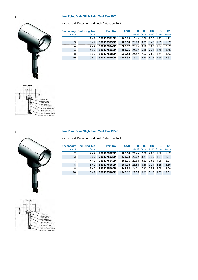### A **Low Point Drain/High Point Vent Tee, PVC**

Visual Leak Detection and Leak Detection Port



|        | <b>Secondary Reducing Tee</b> | Part No.    | <b>USD</b> | н          | HJ.    | НN     | G      | G1     |
|--------|-------------------------------|-------------|------------|------------|--------|--------|--------|--------|
| (inch) | (inch)                        |             |            | (inch)     | (inch) | (inch) | (inch) | (inch) |
|        | $2 \times 2$                  | 8801375020P | 185.49     | 19.66 2.78 |        | 2.78   | 1.29   | 1.29   |
| 3      | $3 \times 2$                  | 8801375030P | 188.60     | 20.28      | 3.21   | 3.40   | 1.31   | 1.87   |
| 4      | 4 x 2                         | 8801375040P | 202.07     | 20.76      | 3.52   | 3.88   | 1.26   | 2.37   |
| 6      | 6x2                           | 8801375060P | 255.96     | 24.09      | 6.58   | 7.21   | 3.56   | 5.65   |
| 8      | 8x2                           | 8801375080P | 469.43     | 24.47      | 7.63   | 7.59   | 3.59   | 3.56   |
| 10     | $10 \times 2$                 | 8801375100P | 1.152.33   | 26.01      | 9.69   | 9.13   | 4.69   | 13.31  |





### A **Low Point Drain/High Point Vent Tee, CPVC**

Visual Leak Detection and Leak Detection Port

|        | <b>Secondary Reducing Tee</b> | Part No.                 | <b>USD</b> | н.                   | HJ. | НN                         | G    | G <sub>1</sub> |
|--------|-------------------------------|--------------------------|------------|----------------------|-----|----------------------------|------|----------------|
| (inch) | (inch)                        |                          |            | (inch)               |     | $(inch)$ $(inch)$ $(inch)$ |      | (inch)         |
|        | $2 \times 2$                  | 9801375020P              | 188.60     | 21.44 2.82 2.82 1.32 |     |                            |      | 1.32           |
| 3      |                               | $3 \times 2$ 9801375030P | 235.23     | 22.02 3.21           |     | 3.40                       | 1.31 | 1.87           |
| 4      | 4 x 2                         | 9801375040P              | 255.96     | 22.50 3.52 3.88      |     |                            | 1.26 | 2.37           |
| 6      |                               | $6 \times 2$ 9801375060P | 464.25     | 25.83 6.58 7.21      |     |                            | 3.56 | 5.65           |
| 8      | $8 \times 2$                  | 9801375080P              | 749.22     | 26.21                |     | 7.63 7.59                  | 3.59 | 3.56           |
| 10     | $10 \times 2$                 | 9801375100P              | 1.360.62   | 27.75                |     | 9.69 9.13                  | 4.69 | 13.31          |

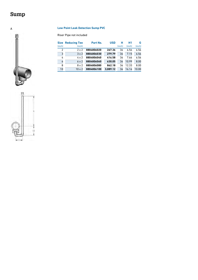# <span id="page-23-0"></span>**Sump**

Ū

## A **Low Point Leak Detection Sump PVC**

Riser Pipe not included

| <b>Size</b> | <b>Reducing Tee</b> | Part No.   | <b>USD</b> | н      | <b>H1</b> | G      |
|-------------|---------------------|------------|------------|--------|-----------|--------|
| (inch)      | (inch)              |            |            | (inch) | (inch)    | (inch) |
| 2           | 2x2                 | 8804806020 | 267.36     | 36     | 6.56      | 6.56   |
| 3           | $3 \times 2$        | 8804806030 | 279.79     | 36     | 7.15      | 6.56   |
| 4           | 4 x 2               | 8804806040 | 416.58     | 36     | 7.66      | 6.56   |
| 6           | $6 \times 2$        | 8804806060 | 630.05     | 36     | 10.99     | 8.00   |
| 8           | 8 x 2               | 8804806080 | 862.18     | 36     | 12.33     | 8.00   |
| 10          | $10 \times 2$       | 8804806100 | 3.089.12   | 36     | 16.16     | 10.00  |

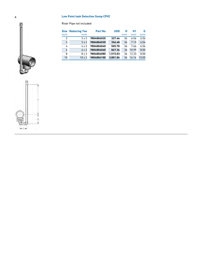### A **Low Point leak Detection Sump CPVC**

Riser Pipe not included

|                | <b>Size Reducing Tee</b> | Part No.   | <b>USD</b> | н      | <b>H1</b> | G      |
|----------------|--------------------------|------------|------------|--------|-----------|--------|
| (inch)         | (inch)                   |            |            | (inch) | (inch)    | (inch) |
| $\overline{2}$ | 2x2                      | 9804806020 | 327.46     | 36     | 6.56      | 6.56   |
| 3              | $3 \times 2$             | 9804806030 | 356.48     | 36     | 7.15      | 6.56   |
| 4              | 4 x 2                    | 9804806040 | 505.70     | 36     | 7.66      | 6.56   |
| 6              | 6x2                      | 9804806060 | 867.36     | 36     | 10.99     | 8.00   |
| 8              | $8 \times 2$             | 9804806080 | 1.515.03   | 36     | 12.33     | 8.00   |
| 10             | $10 \times 2$            | 9804806100 | 3.801.04   | 36     | 16.16     | 10.00  |



ñ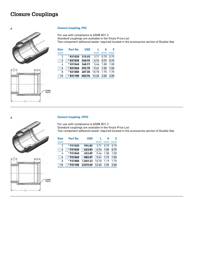# <span id="page-25-0"></span>**Closure Couplings**

#### A **Closure Coupling, PVC**



Cemen<br>Pocket



For use with compliance to ASME B31.3

Standard couplings are available in the Vinyls Price List







#### A **Closure Coupling, CPVC**

For use with compliance to ASME B31.3

Standard couplings are available in the Vinyls Price List Two component adhesive/sealer required located in the accessories section of Double-See

Two component adhesive/sealer required located in the accessories section of Double-See

| <b>Size</b> | Part No. | <b>USD</b> |        | Δ      | 7      |
|-------------|----------|------------|--------|--------|--------|
| (inch)      |          |            | (inch) | (inch) | (inch) |
| 2           | *931020  | 594.82     | 3.71   | 0.75   | 0.75   |
| 3           | *931030  | 623.83     | 4.74   | 1.00   | 0.75   |
| 4           | *931040  | 653.89     | 5.46   | 1.00   | 1.00   |
| 6           | *931060  | 802.07     | 9.41   | 1.19   | 1.50   |
| 8           | *931080  | 1.069.43   | 10.70  | 1.19   | 1.75   |
| 10          | *931100  | 2.019.69   | 12.45  | 1.92   | 2.00   |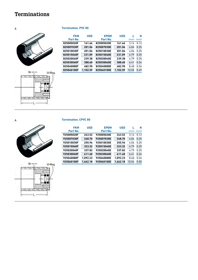# <span id="page-26-0"></span>**Terminations**

A **Termination, PVC 80**



| <b>FKM</b> | <b>USD</b> | <b>EPDM</b> | <b>USD</b> |        | N      |
|------------|------------|-------------|------------|--------|--------|
| Part No.   |            | Part No.    |            | (inch) | (inch) |
| 825005020F | 161.66     | 825005020E  | 161.66     | 3.14   | 0.12   |
| 825007030F | 201.04     | 825007030E  | 201.04     | 4.04   | 0.25   |
| 825010030F | 201.04     | 825010030E  | 201.04     | 4.04   | 0.25   |
| 825015040F | 231.09     | 825015040E  | 231.09     | 4.79   | 0.25   |
| 825020040F | 239.38     | 825020040E  | 239.38     | 4.79   | 0.25   |
| 825030060F | 388.60     | 825030060E  | 388.60     | 6.41   | 0.34   |
| 825040080F | 482.90     | 825040080E  | 482.90     | 8.40   | 0.34   |
| 825060100F | 1.102.59   | 825060100E  | 1.102.59   | 10.55  | 0.49   |





## A **Termination, CPVC 80**

| <b>FKM</b> | <b>USD</b> | <b>EPDM</b> | <b>USD</b> |        | N      |
|------------|------------|-------------|------------|--------|--------|
| Part No.   |            | Part No.    |            | (inch) | (inch) |
| 925005020F | 243.52     | 925005020E  | 243.52     | 3.14   | 0.12   |
| 925007030F | 248.70     | 925007030E  | 248.70     | 4.04   | 0.25   |
| 925010030F | 255.96     | 925010030E  | 255.96     | 4.04   | 0.25   |
| 925015040F | 323.32     | 925015040E  | 323.32     | 4.79   | 0.25   |
| 925020040F | 337.82     | 925020040E  | 337.82     | 4.79   | 0.25   |
| 925030060F | 611.40     | 925030060E  | 611.40     | 6.41   | 0.34   |
| 925040080F | 1.092.23   | 925040080E  | 1.092.23   | 8.40   | 0.34   |
| 925060100F | 1.662.18   | 925060100E  | 1.662.18   | 10.54  | 0.50   |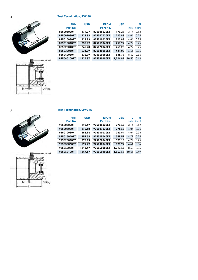A **Test Termination, PVC 80**



| <b>FKM</b>  | <b>USD</b> | <b>EPDM</b> | <b>USD</b> |        | N      |
|-------------|------------|-------------|------------|--------|--------|
| Part No.    |            | Part No.    |            | (inch) | (inch) |
| 825005020FT | 179.27     | 825005020ET | 179.27     | 3.14   | 0.12   |
| 825007030FT | 223.83     | 825007030ET | 223.83     | 4.04   | 0.25   |
| 825010030FT | 223.83     | 825010030ET | 223.83     | 4.04   | 0.25   |
| 825015040FT | 256.99     | 825015040ET | 256.99     | 4.79   | 0.25   |
| 825020040FT | 265.28     | 825020040ET | 265.28     | 4.79   | 0.25   |
| 825030060FT | 431.09     | 825030060ET | 431.09     | 6.41   | 0.34   |
| 825040080FT | 536.79     | 825040080ET | 536.79     | 8.40   | 0.34   |
| 825060100FT | 1.224.87   | 825060100ET | 1.224.87   | 10.55  | 0.49   |

| <b>Test Termination, CPVC 80</b> |  |
|----------------------------------|--|
|                                  |  |

| <b>FKM</b>  | <b>USD</b> | <b>EPDM</b>        | <b>USD</b> |        | N      |
|-------------|------------|--------------------|------------|--------|--------|
| Part No.    |            | Part No.           |            | (inch) | (inch) |
| 925005020FT | 270.47     | 925005020ET        | 270.47     | 3.14   | 0.12   |
| 925007030FT | 276.68     | 925007030ET        | 276.68     | 4.04   | 0.25   |
| 925010030FT | 283.94     | 925010030ET        | 283.94     | 4.04   | 0.25   |
| 925015040FT | 359.59     | 925015040ET        | 359.59     | 4.79   | 0.25   |
| 925020040FT | 375.13     | 925020040ET        | 375.13     | 4.79   | 0.25   |
| 925030060FT | 679.79     | <b>925030060ET</b> | 679.79     | 6.41   | 0.34   |
| 925040080FT | 1.213.47   | 925040080ET        | 1.213.47   | 8.40   | 0.34   |
| 925060100FT | 1.847.67   | 925060100ET        | 1.847.67   | 10.55  | 0.49   |

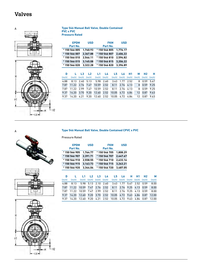# <span id="page-28-0"></span>**Valves**



| A | <b>Type 546 Manual Ball Valve, Double Contained</b> |
|---|-----------------------------------------------------|
|   | <b>PVC x PVC</b>                                    |
|   | <b>Pressure Rated</b>                               |

|                     |        |        | <b>USD</b> |        | <b>FKM</b><br>Part No. |        | <b>USD</b>     |        | <b>EPDM</b><br>Part No. |        |
|---------------------|--------|--------|------------|--------|------------------------|--------|----------------|--------|-------------------------|--------|
|                     |        |        | 1.776.17   |        | * 150 546 805          |        | 1.740.93       |        | *150 546 005            |        |
|                     |        |        | 2.406.22   |        | *150546807             |        | 2,367.88       |        | *150546007              |        |
|                     |        |        | 2.594.82   |        | *150546810             |        | 2.546.11       |        | *150546010              |        |
|                     |        |        | 3.206.22   |        | *150546815             |        | 3.145.08       |        | *150546015              |        |
|                     |        |        | 3.396.89   |        | *150546820             |        | 3.322.28       |        | *150546020              |        |
|                     |        |        |            |        |                        |        |                |        |                         |        |
| н<br>H <sub>2</sub> | М      | Н1     | L6         | L5     | L4                     | L1     | L <sub>2</sub> | L3     | п                       | D      |
| (inch)<br>(inch)    | (inch) | (inch) | (inch)     | (inch) | (inch)                 | (inch) | (inch)         | (inch) | (inch)                  | (inch) |
| 0.59<br>5.67        | 8      | 2.52   | 1.77       | 3.43   | 2.60                   | 5.98   | 5.13           | 2.40   | 8.13                    | 4.88   |

7.87 11.22 2.76 7.47 10.59 2.52 8.11 2.76 4.13 8 0.59 9.25 7.87 11.22 2.99 7.47 10.59 2.52 8.11 2.76 4.13 8 0.59 9.25 9.37 14.20 3.70 9.20 12.60 2.52 10.05 4.72 4.84 12 0.87 9.63 9.37 14.20 4.21 9.20 12.60 2.52 10.05 4.72 4.84 12 0.87 9.63

**H**

#### A **Type 546 Manual Ball Valve, Double Contained CPVC x PVC**

Pressure Rated

| <b>EPDM</b><br>Part No. | <b>USD</b> | <b>FKM</b><br>Part No. | <b>USD</b> |
|-------------------------|------------|------------------------|------------|
| *150546905              | 1.764.77   | * 150 546 705          | 1.808.29   |
| *150546907              | 2.391.71   | *150546707             | 2.447.67   |
| *150546910              | 2.558.55   | *150546710             | 2.633.16   |
| *150546915              | 3.163.73   | * 150 546 715          | 3.263.21   |
| *150546920              | 3.344.04   | *150546720             | 3.487.05   |

| n      |                                                            |                                                      |  | L2 L3 L4 L5 L6 H H1 H2                                         |  |      | M      |
|--------|------------------------------------------------------------|------------------------------------------------------|--|----------------------------------------------------------------|--|------|--------|
| (inch) | (inch)                                                     |                                                      |  | (inch) (inch) (inch) (inch) (inch) (inch) (inch) (inch) (inch) |  |      | (inch) |
| 4.88   | 8.13                                                       |                                                      |  | 5.98 5.13 2.10 2.60 3.43 1.77 5.67 2.52 0.59                   |  |      | 8.00   |
| 7.87   | 11.22                                                      |                                                      |  | 10.59 7.47 2.76 2.52 8.11 2.76 9.25 4.13                       |  | 0.59 | 8.00   |
| 787    |                                                            | 11.22 10.59 7.47 2.99 2.52 8.11 2.76 9.25 4.13 0.59  |  |                                                                |  |      | 8.00   |
| 9.37   |                                                            | 14.20 12.60 9.20 3.70 2.52 10.05 4.72 9.63 4.84 0.87 |  |                                                                |  |      | 12.00  |
| 937    | 14.20 12.60 9.20 4.21 2.52 10.05 4.72 9.63 4.84 0.87 12.00 |                                                      |  |                                                                |  |      |        |





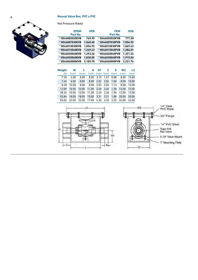### A **Manual Valve Box, PVC x PVC**



Not Pressure Rated

| <b>EPDM</b><br>Part No. | <b>USD</b> | <b>FKM</b><br>Part No. | <b>USD</b> |
|-------------------------|------------|------------------------|------------|
| *8546005020EVB          | 769.95     | *8546005020FVB         | 777.20     |
| *8546007030EVB          | 1.045.60   | *8546007030FVB         | 1.054.92   |
| *8546010030EVB          | 1.054.92   | * 8546010030FVB        | 1.069.43   |
| *8546015040EVB          | 1.269.43   | *8546015040FVB         | 1.286.01   |
| *8546020040EVB          | 1.293.26   | *8546020040FVB         | 1.321.24   |
| *8546030060EVB          | 1.830.05   | *8546030060FVB         | 1.915.03   |
| *8546040080EVB          | 2.105.70   | *8546040080FVB         | 2.221.76   |

| <b>Weight</b> | W      |        | н      | Н1     | c      | s      | W <sub>2</sub> | L <sub>2</sub> |
|---------------|--------|--------|--------|--------|--------|--------|----------------|----------------|
| (lb)          | (inch) | (inch) | (inch) | (inch) | (inch) | (inch) | (inch)         | (inch)         |
| 7.20          | 6.00   | 8.00   | 8.00   | 3.10   | 1.57   | 0.88   | 8.00           | 10.00          |
| 7.45          | 6.00   | 8.00   | 8.00   | 2.02   | 2.02   | 1.00   | 8.00           | 10.00          |
| 8.20          | 10.00  | 8.00   | 8.00   | 2.02   | 2.02   | 1.13   | 8.00           | 10.00          |
| 12.09         | 10.00  | 10.00  | 11.00  | 2.40   | 2.40   | 1.38   | 12.00          | 12.00          |
| 28.34         | 10.00  | 10.00  | 11.00  | 2.40   | 2.40   | 1.50   | 12.00          | 12.00          |
| 53.84         | 18.00  | 18.00  | 15.00  | 3.21   | 3.21   | 1.88   | 20.00          | 20.00          |
| 83.02         | 22.00  | 22.00  | 17.00  | 4.20   | 4.20   | 2.25   | 24.00          | 24.00          |

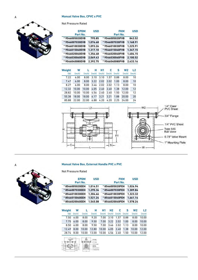### **A Manual Valve Box, CPVC x PVC**



| <b>Not Pressure Rated</b> |  |
|---------------------------|--|
|---------------------------|--|

| <b>EPDM</b><br>Part No. | <b>USD</b> | <b>FKM</b><br>Part No. | <b>USD</b> |
|-------------------------|------------|------------------------|------------|
| *9546005020EVB          | 795.85     | *9546005020FVB         | 843.52     |
| *9546007030EVB          | 1.076.68   | *9546007030FVB         | 1,168.91   |
| *9546010030EVB          | 1.093.26   | *9546010030FVB         | 1.225.91   |
| *9546015040EVB          | 1.317.10   | *9546015040FVB         | 1.347.15   |
| *9546020040EVB          | 1.356.48   | *9546020040FVB         | 1.404.15   |
| *9546030060EVB          | 2.069.43   | *9546030060FVB         | 2,100.52   |
| *9546040080EVB          | 2.392.75   | *9546040080FVB         | 2.433.16   |

| Weight | W      |        | н      | Н1     | c      | s      | W <sub>2</sub> | L <sub>2</sub> |
|--------|--------|--------|--------|--------|--------|--------|----------------|----------------|
| (lb)   | (inch) | (inch) | (inch) | (inch) | (inch) | (inch) | (inch)         | (inch)         |
| 7.22   | 6.00   | 8.00   | 3.10   | 3.10   | 1.57   | 0.88   | 8.00           | 10             |
| 7.47   | 6.00   | 8.00   | 3.22   | 2.02   | 2.02   | 1.00   | 8.00           | 10             |
| 8.27   | 6.00   | 8.00   | 3.46   | 2.02   | 2.02   | 1.13   | 8.00           | 10             |
| 12.32  | 10.00  | 10.00  | 4.05   | 2.40   | 2.40   | 1.38   | 12.00          | 12             |
| 28.82  | 10.00  | 10.00  | 4.56   | 2.40   | 2.40   | 1.50   | 12.00          | 12             |
| 55.38  | 18.00  | 18.00  | 6.17   | 3.21   | 3.21   | 1.88   | 20.00          | 20             |
| 85.88  | 22.00  | 22.00  | 6.88   | 4.20   | 4.20   | 2.25   | 24.00          | 24             |



#### A **Manual Valve Box, External Handle PVC x PVC**



|                | <b>EPDM</b><br>Part No.   |            |                                                     | <b>USD</b><br><b>FKM</b><br>Part No. |                 |        |        | <b>USD</b>     |        |
|----------------|---------------------------|------------|-----------------------------------------------------|--------------------------------------|-----------------|--------|--------|----------------|--------|
| *8546005020EEH |                           |            | 1.014.51                                            |                                      | * 8546005020FEH |        |        | 1.026.94       |        |
|                | *8546007030EEH            |            |                                                     | 1,295.34                             | * 8546007030FEH |        |        | 1,309.84       |        |
| *8546010030EEH |                           |            | 1.304.66                                            |                                      | * 8546010030FEH |        |        | 1,323.32       |        |
|                | 8546015040EEH<br>1,521.24 |            |                                                     |                                      | 8546015040FEH   |        |        | 1,661.14       |        |
| *8546020040EEH |                           |            | 1.545.08                                            |                                      | * 8546020040FEH |        |        | 1.578.24       |        |
|                |                           |            |                                                     |                                      |                 |        |        |                |        |
| Weight         | W                         |            | н                                                   | Η1                                   | H <sub>2</sub>  | c      | S      | W <sub>2</sub> | L2     |
| (lb)           | (inch)                    | (inch)     | (inch)                                              | (inch)                               | (inch)          | (inch) | (inch) | (inch)         | (inch) |
| 7.50           | 6.00                      | 8.00       | 9.20                                                | 7.00                                 | 3.10            | 1.57   | 0.88   | 8.00           | 10.00  |
| 7.75           | 6.00                      | 8.00       | 9.50                                                | 7.00                                 | 3.22            | 2.02   | 1.00   | 8.00           | 10.00  |
| 8.50           | 6.00                      | 8.00       | 9.50                                                | 7.00                                 | 3.46            | 2.02   | 1.13   | 8.00           | 10.00  |
| 12.49          | 8.00                      | 10.00      | 12.80                                               | 10.00                                | 4.05            | 2.40   | 1.38   | 10.00          | 12.00  |
| 28.74          | 8.00                      | 10.00      | 13.00                                               | 10.00                                | 4.56            | 2.40   | 1.50   | 10.00          | 12.00  |
|                | 426                       | А<br>-1111 | K/E.<br>ic Onia<br><b>MAY B'und Stewart</b><br>an a |                                      |                 |        |        |                |        |

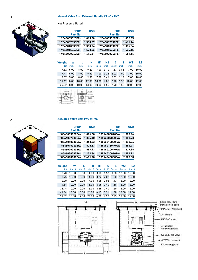### A **Manual Valve Box, External Handle CPVC x PVC**



Not Pressure Rated

| EPDM<br>Part No. |                 |        | <b>USD</b>                                                                             |                            |                 | <b>FKM</b><br>Part No. |        | <b>USD</b>     |        |
|------------------|-----------------|--------|----------------------------------------------------------------------------------------|----------------------------|-----------------|------------------------|--------|----------------|--------|
| *9546005020EEH   |                 |        | 1,045.60                                                                               |                            |                 | *9546005020FEH         |        | 1,052.85       |        |
|                  | *9546007030EEH  |        |                                                                                        | 1,330.57                   | * 9546007030FEH |                        |        | 1,461.14       |        |
|                  | *9546010030EEH  |        | 1,350.26                                                                               |                            |                 | *9546010030FEH         |        | 1,366.84       |        |
|                  | *9546015040EEH  |        |                                                                                        | 1,573.06<br>*9546015040FEH |                 |                        |        | 1,604.15       |        |
|                  | * 9546020040EEH |        |                                                                                        | 1,614.51                   | * 9546020040FEH |                        |        | 1,661.14       |        |
|                  |                 |        |                                                                                        |                            |                 |                        |        |                |        |
| Weight           | W               |        | н                                                                                      | <b>H1</b>                  | H <sub>2</sub>  | c                      | S      | W <sub>2</sub> | L2     |
| (lb)             | (inch)          | (inch) | (inch)                                                                                 | (inch)                     | (inch)          | (inch)                 | (inch) | (inch)         | (inch) |
| 7.52             | 5.00            | 8.00   | 9.20                                                                                   | 7.00                       | 3.10            | 1.57                   | 0.88   | 7.00           | 10.00  |
| 7.77             | 5.00            | 8.00   | 9.50                                                                                   | 7.00                       | 3.22            | 2.02                   | 1.00   | 7.00           | 10.00  |
| 8.57             | 5.00            | 8.00   | 9.50                                                                                   | 7.00                       | 3.46            | 2.02                   | 1.13   | 7.00           | 10.00  |
| 11.42            | 8.00            | 10.00  | 12.80                                                                                  | 10.00                      | 4.05            | 2.40                   | 1.38   | 10.00          | 12.00  |
| 29.22            | 8.00            | 10.00  | 13.00                                                                                  | 10.00                      | 4.56            | 2.40                   | 1.50   | 10.00          | 12.00  |
|                  |                 |        | Selection<br>of Conie<br><b>MANC Steel</b><br><b><i><u>Asia access Citizen</u></i></b> |                            |                 |                        |        |                |        |

#### A **Actuated Valve Box, PVC x PVC**



| <b>EPDM</b>    | <b>USD</b> | <b>FKM</b>      | <b>USD</b> |
|----------------|------------|-----------------|------------|
| Part No.       |            | Part No.        |            |
| *8546005020EAV | 1.076.68   | *8546005020FAV  | 1.083.94   |
| *8546007030EAV | 1.354.40   | *8546007030FAV  | 1,363.73   |
| *8546010030EAV | 1.363.73   | * 8546010030FAV | 1.378.24   |
| *8546015040EAV | 1.575.13   | *8546015040FAV  | 1.591.71   |
| *8546020040EAV | 1.597.93   | *8546020040FAV  | 1.627.98   |
| *8546030060EAV | 2,132.64   | *8546030060FAV  | 2.254.92   |
| *8546040080EAV | 2.411.40   | *8546040080FAV  | 2.528.50   |
|                |            |                 |            |

| Weiaht | W       | L      | н      | H1         | c                          | s    | W <sub>2</sub> | L <sub>2</sub> |
|--------|---------|--------|--------|------------|----------------------------|------|----------------|----------------|
| (lb)   | (inch)  | (inch) | (inch) |            | $(inch)$ $(inch)$ $(inch)$ |      | (inch)         | (inch)         |
| 8.70   | 10.00   | 10.00  | 14.00  | 3.10       | 1.57                       | 0.88 | 12.00          | 12.00          |
| 8.95   | 10.00   | 10.00  | 14.00  | 3.22       | 2.02                       | 1.00 | 12.00          | 12.00          |
| 10.20  | 10.00   | 10.00  | 14.00  | 3.46       | 2.02                       | 1.13 | 12.00          | 12.00          |
| 14.34  | 10.00   | 10.00  | 16.00  | 4.05       | 2.40                       | 1.38 | 12.00          | 12.00          |
| 33.44  | 10.00   | 10.00  | 16.00  | 4.56       | 2.40                       | 1.50 | 12.00          | 12.00          |
| 61.34  | 13.00   | 15.00  | 24.00  | 6.17       | 3.21                       | 1.88 | 15.00          | 17.00          |
| 01.52  | 1 F 0 O | 1700   | 0100   | $\sqrt{2}$ | $\sim$<br>$\epsilon$       | o or | 17 O.O         | 1000           |

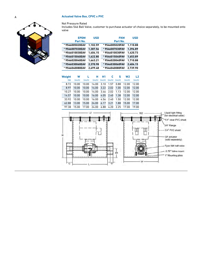#### A **Actuated Valve Box, CPVC x PVC**



#### Not Pressure Rated

Includes 546 Ball Valve, customer to purchase actuator of choice separately, to be mounted onto valve

| <b>EPDM</b><br>Part No. | <b>USD</b> | <b>FKM</b><br>Part No. | <b>USD</b> |
|-------------------------|------------|------------------------|------------|
| *9546005020EAV          | 1.102.59   | *9546005020FAV         | 1.110.88   |
| *9546007030EAV          | 1.387.56   | *9546007030FAV         | 1.396.89   |
| *9546010030EAV          | 1.404.15   | *9546010030FAV         | 1.420.73   |
| *9546015040EAV          | 1.622.80   | *9546015040FAV         | 1.653.89   |
| *9546020040EAV          | 1.663.21   | *9546020040FAV         | 1.710.88   |
| *9546030060EAV          | 2.370.98   | *9546030060FAV         | 2.404.15   |
| *9546040080EAV          | 2.699.48   | *9546040080FAV         | 2.739.90   |
|                         |            |                        |            |

| Weiaht | W      |        | н     | <b>H1</b>         | c    | s                 | W2     | L <sub>2</sub> |
|--------|--------|--------|-------|-------------------|------|-------------------|--------|----------------|
| (lb)   | (inch) | (inch) |       | $(inch)$ $(inch)$ |      | $(inch)$ $(inch)$ | (inch) | (inch)         |
| 8.72   | 10.00  | 10.00  | 14.00 | 3.10              | 1.57 | 0.88              | 12.00  | 12.00          |
| 8.97   | 10.00  | 10.00  | 14.00 | 3.22              | 2.02 | 1.00              | 12.00  | 12.00          |
| 10.27  | 10.00  | 10.00  | 14.00 | 3.46              | 2.02 | 1.13              | 12.00  | 12.00          |
| 14.57  | 10.00  | 10.00  | 16.00 | 4.05              | 2.40 | 1.38              | 12.00  | 12.00          |
| 33.92  | 10.00  | 10.00  | 16.00 | 4.56              | 2.40 | 1.50              | 12.00  | 12.00          |
| 62.88  | 13.00  | 15.00  | 24.00 | 6.17              | 3.21 | 1.88              | 15.00  | 17.00          |
| 97.38  | 15.00  | 17.00  | 24.00 | 6.88              | 4.20 | 2.25              | 17.00  | 19.00          |

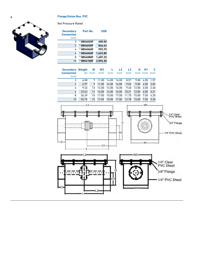### A **Flange/Union Box, PVC**



Not Pressure Rated

| <b>Secondary</b><br><b>Connection</b><br>(inch) | Part No.   | USD      |
|-------------------------------------------------|------------|----------|
| 2                                               | * 8854020F | 600.00   |
| 3                                               | *8854030F  | 846.63   |
| 4                                               | * 8854040F | 992.75   |
| 6                                               | *8854060F  | 1.622.80 |
| 8                                               | * 8854080F | 1.607.25 |
| 10                                              | *8854100F  | 2.094.30 |

| <b>Secondary</b>            | Weight | W      | W2     |        | L2     | L <sub>3</sub> | н      | н1     |        |
|-----------------------------|--------|--------|--------|--------|--------|----------------|--------|--------|--------|
| <b>Connection</b><br>(inch) | (lb)   | (inch) | (inch) | (inch) | (inch) | (inch)         | (inch) | (inch) | (inch) |
| 2                           | 6.58   | 9      | 11.00  | 14.00  | 16.00  | 8.57           | 9.00   | 4.50   | 1.57   |
| 3                           | 6.97   | 9      | 11.00  | 14.00  | 16.00  | 9.02           | 9.00   | 4.50   | 2.02   |
| 4                           | 9.32   | 12     | 14.00  | 14.00  | 16.00  | 9.40           | 12.00  | 6.00   | 2.40   |
| 6                           | 23.63  | 12     | 14.00  | 14.00  | 16.00  | 10.21          | 12.00  | 6.00   | 3.21   |
| 8                           | 36.29  | 15     | 17.00  | 15.00  | 17.00  | 11.70          | 15.00  | 7.50   | 4.20   |
| 10                          | 55.75  | 15     | 17.00  | 15.00  | 17.00  | 12.78          | 15.00  | 7.50   | 5.28   |

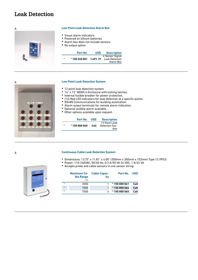## <span id="page-34-0"></span>**Leak Detection**



#### A **Low Point Leak Detection Alarm Box**

- Visual alarm indicators
- Powered on lithium batteries
- Alarm box does not include sensors
- No output option

۳

|         | Part No.   | <b>USD</b> | <b>Description</b>                                    |
|---------|------------|------------|-------------------------------------------------------|
| $\star$ | *150240001 | 1.691.19   | 4 Sensor Signal<br><b>Leak Detection</b><br>Alarm Box |



#### **Low Point Leak Detection System**

- 12 point leak detection system
- 14" x 12" NEMA 4 Enclosure with locking latches.
- Internal fusible breaker for power protection.
- (12) Red LED indicators for leak detection at a specific points.
- RS485 Communications for building automation.
- Alarm output terminals for remote alarm indication.
- Optional audible alarm available.
- Other options available upon request.

| Part No. USD |      | <b>Description</b>                     |
|--------------|------|----------------------------------------|
| *150000060   | Call | 12 Point Leak<br>Detection Sys-<br>tem |

#### A **Continuous Cable Leak Detection System**

- Dimensions: 13.75" x 11.81" x 4.00" (350mm x 300mm x 102mm) Type 12 (IP52)
- Power: 110-240VAC, 50/60 Hz, 0.3 A/50 VA 24 VDC, 1 A/24 VA
	- Accepts probe and cable sensors in one sensor string



|         | ble Range<br>(ft) | <b>Maximum Ca-</b> Cable Capac-<br>itv | Part No. USD |      |
|---------|-------------------|----------------------------------------|--------------|------|
| $\ast$  | 3000              |                                        | *150 000 061 | Call |
| $\ast$  | 7500              |                                        | *150 000 064 | Call |
| $\star$ | 7500              |                                        | *150 000 065 | Call |